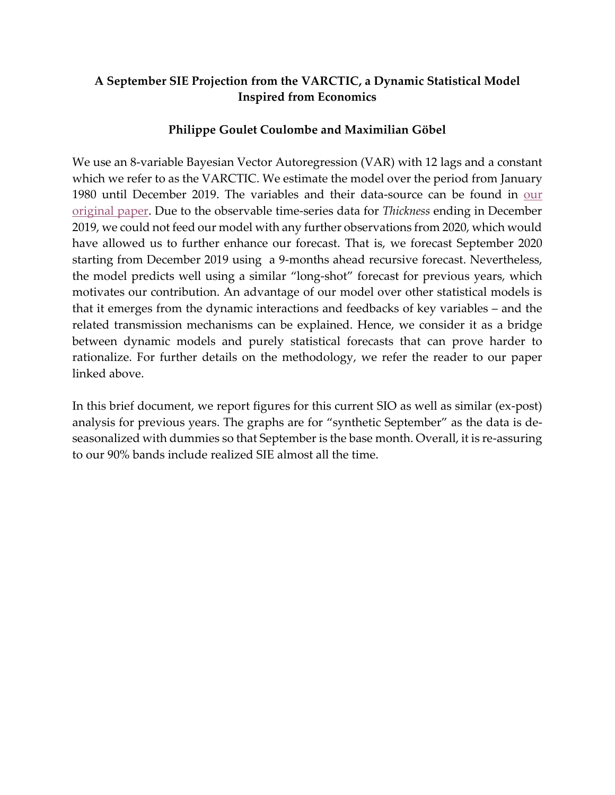#### **A September SIE Projection from the VARCTIC, a Dynamic Statistical Model Inspired from Economics**

#### **Philippe Goulet Coulombe and Maximilian Göbel**

We use an 8-variable Bayesian Vector Autoregression (VAR) with 12 lags and a constant which we refer to as the VARCTIC. We estimate the model over the period from January 1980 until December 2019. The variables and their data-source can be found in [our](https://arxiv.org/abs/2005.02535)  [original paper.](https://arxiv.org/abs/2005.02535) Due to the observable time-series data for *Thickness* ending in December 2019, we could not feed our model with any further observations from 2020, which would have allowed us to further enhance our forecast. That is, we forecast September 2020 starting from December 2019 using a 9-months ahead recursive forecast. Nevertheless, the model predicts well using a similar "long-shot" forecast for previous years, which motivates our contribution. An advantage of our model over other statistical models is that it emerges from the dynamic interactions and feedbacks of key variables – and the related transmission mechanisms can be explained. Hence, we consider it as a bridge between dynamic models and purely statistical forecasts that can prove harder to rationalize. For further details on the methodology, we refer the reader to our paper linked above.

In this brief document, we report figures for this current SIO as well as similar (ex-post) analysis for previous years. The graphs are for "synthetic September" as the data is deseasonalized with dummies so that September is the base month. Overall, it is re-assuring to our 90% bands include realized SIE almost all the time.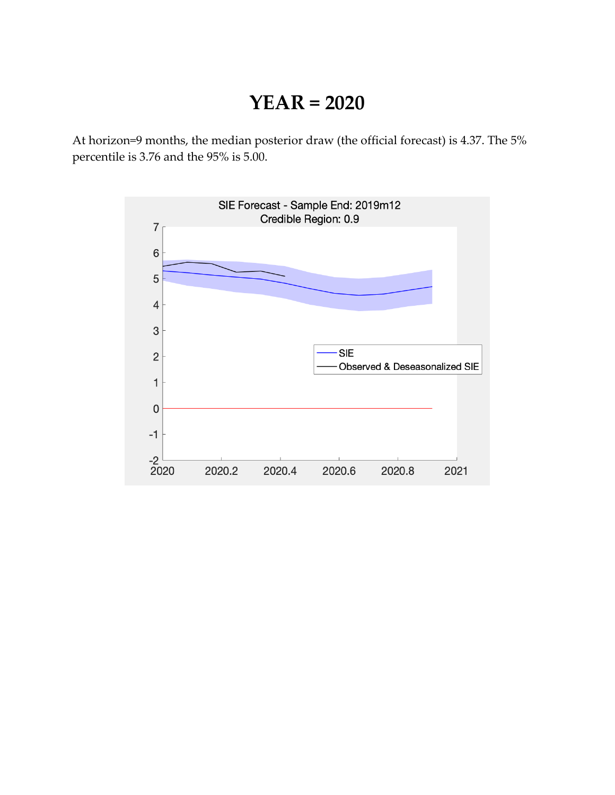### **YEAR = 2020**

At horizon=9 months, the median posterior draw (the official forecast) is 4.37. The 5% percentile is 3.76 and the 95% is 5.00.